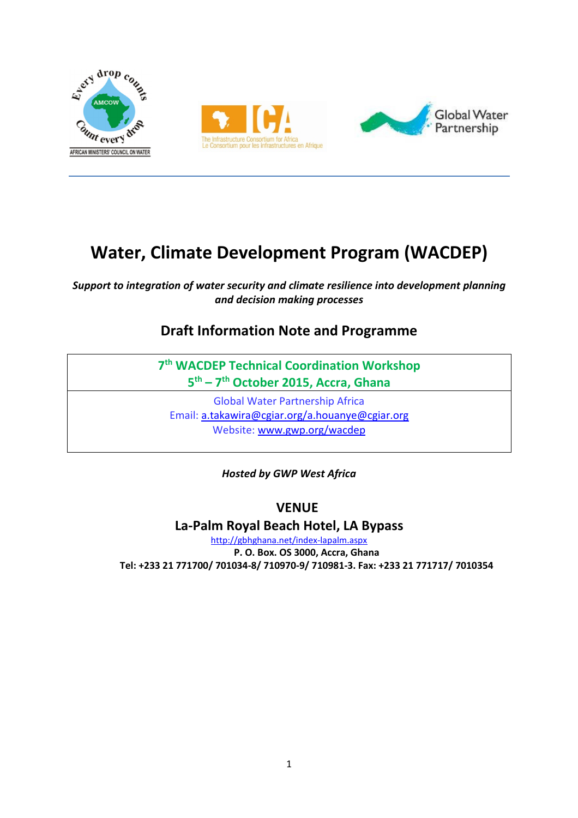





# Water, Climate Development Program (WACDEP)

Support to integration of water security and climate resilience into development planning and decision making processes

## Draft Information Note and Programme

7<sup>th</sup> WACDEP Technical Coordination Workshop 5<sup>th</sup> – 7<sup>th</sup> October 2015, Accra, Ghana

Global Water Partnership Africa Email: a.takawira@cgiar.org/a.houanye@cgiar.org Website: www.gwp.org/wacdep

Hosted by GWP West Africa

VENUE

La-Palm Royal Beach Hotel, LA Bypass

http://gbhghana.net/index-lapalm.aspx P. O. Box. OS 3000, Accra, Ghana Tel: +233 21 771700/ 701034-8/ 710970-9/ 710981-3. Fax: +233 21 771717/ 7010354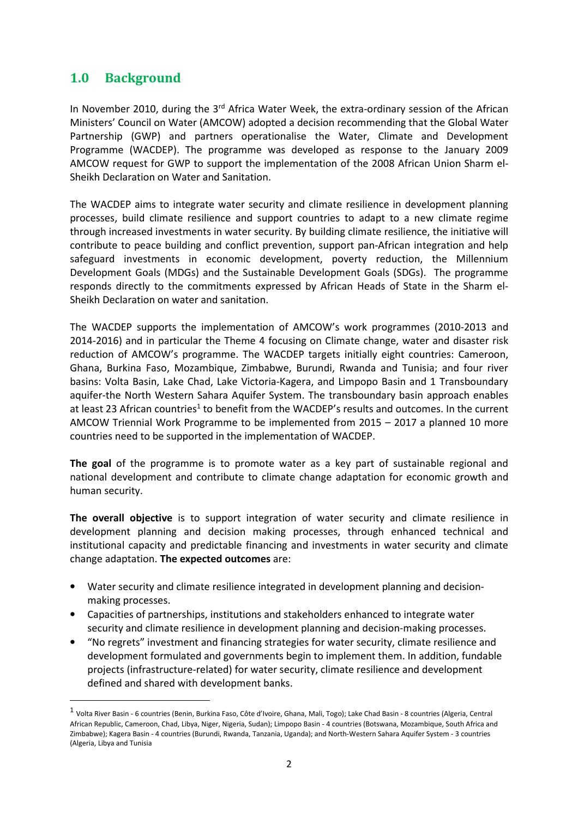### 1.0 Background

 $\overline{a}$ 

In November 2010, during the 3<sup>rd</sup> Africa Water Week, the extra-ordinary session of the African Ministers' Council on Water (AMCOW) adopted a decision recommending that the Global Water Partnership (GWP) and partners operationalise the Water, Climate and Development Programme (WACDEP). The programme was developed as response to the January 2009 AMCOW request for GWP to support the implementation of the 2008 African Union Sharm el-Sheikh Declaration on Water and Sanitation.

The WACDEP aims to integrate water security and climate resilience in development planning processes, build climate resilience and support countries to adapt to a new climate regime through increased investments in water security. By building climate resilience, the initiative will contribute to peace building and conflict prevention, support pan-African integration and help safeguard investments in economic development, poverty reduction, the Millennium Development Goals (MDGs) and the Sustainable Development Goals (SDGs). The programme responds directly to the commitments expressed by African Heads of State in the Sharm el-Sheikh Declaration on water and sanitation.

The WACDEP supports the implementation of AMCOW's work programmes (2010-2013 and 2014-2016) and in particular the Theme 4 focusing on Climate change, water and disaster risk reduction of AMCOW's programme. The WACDEP targets initially eight countries: Cameroon, Ghana, Burkina Faso, Mozambique, Zimbabwe, Burundi, Rwanda and Tunisia; and four river basins: Volta Basin, Lake Chad, Lake Victoria-Kagera, and Limpopo Basin and 1 Transboundary aquifer-the North Western Sahara Aquifer System. The transboundary basin approach enables at least 23 African countries<sup>1</sup> to benefit from the WACDEP's results and outcomes. In the current AMCOW Triennial Work Programme to be implemented from 2015 – 2017 a planned 10 more countries need to be supported in the implementation of WACDEP.

The goal of the programme is to promote water as a key part of sustainable regional and national development and contribute to climate change adaptation for economic growth and human security.

The overall objective is to support integration of water security and climate resilience in development planning and decision making processes, through enhanced technical and institutional capacity and predictable financing and investments in water security and climate change adaptation. The expected outcomes are:

- Water security and climate resilience integrated in development planning and decisionmaking processes.
- Capacities of partnerships, institutions and stakeholders enhanced to integrate water security and climate resilience in development planning and decision-making processes.
- "No regrets" investment and financing strategies for water security, climate resilience and development formulated and governments begin to implement them. In addition, fundable projects (infrastructure-related) for water security, climate resilience and development defined and shared with development banks.

<sup>&</sup>lt;sup>1</sup> Volta River Basin - 6 countries (Benin, Burkina Faso, Côte d'Ivoire, Ghana, Mali, Togo); Lake Chad Basin - 8 countries (Algeria, Central African Republic, Cameroon, Chad, Libya, Niger, Nigeria, Sudan); Limpopo Basin - 4 countries (Botswana, Mozambique, South Africa and Zimbabwe); Kagera Basin - 4 countries (Burundi, Rwanda, Tanzania, Uganda); and North-Western Sahara Aquifer System - 3 countries (Algeria, Libya and Tunisia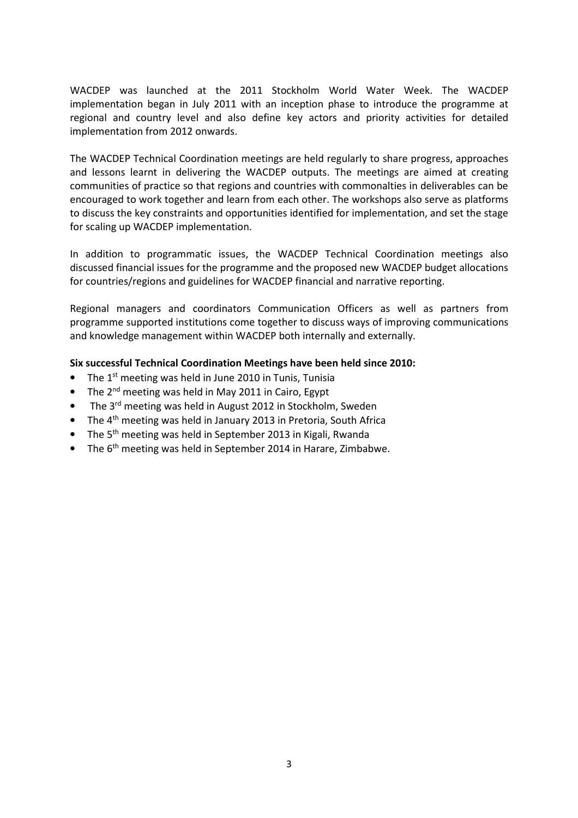WACDEP was launched at the 2011 Stockholm World Water Week. The WACDEP implementation began in July 2011 with an inception phase to introduce the programme at regional and country level and also define key actors and priority activities for detailed implementation from 2012 onwards.

The WACDEP Technical Coordination meetings are held regularly to share progress, approaches and lessons learnt in delivering the WACDEP outputs. The meetings are aimed at creating communities of practice so that regions and countries with commonalties in deliverables can be encouraged to work together and learn from each other. The workshops also serve as platforms to discuss the key constraints and opportunities identified for implementation, and set the stage for scaling up WACDEP implementation.

In addition to programmatic issues, the WACDEP Technical Coordination meetings also discussed financial issues for the programme and the proposed new WACDEP budget allocations for countries/regions and guidelines for WACDEP financial and narrative reporting.

Regional managers and coordinators Communication Officers as well as partners from programme supported institutions come together to discuss ways of improving communications and knowledge management within WACDEP both internally and externally.

#### Six successful Technical Coordination Meetings have been held since 2010:

- The  $1<sup>st</sup>$  meeting was held in June 2010 in Tunis, Tunisia
- The  $2^{nd}$  meeting was held in May 2011 in Cairo, Egypt
- The 3<sup>rd</sup> meeting was held in August 2012 in Stockholm, Sweden
- The  $4<sup>th</sup>$  meeting was held in January 2013 in Pretoria, South Africa
- The  $5<sup>th</sup>$  meeting was held in September 2013 in Kigali, Rwanda
- The  $6<sup>th</sup>$  meeting was held in September 2014 in Harare, Zimbabwe.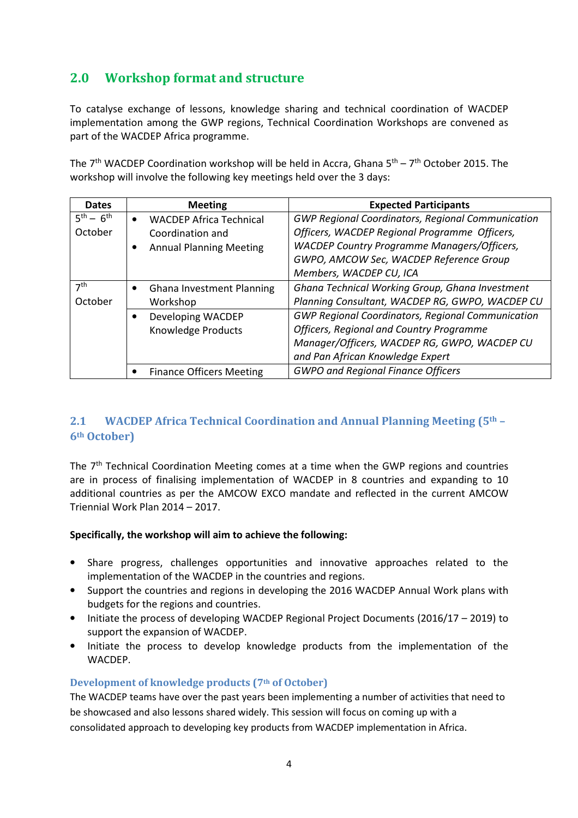## 2.0 Workshop format and structure

To catalyse exchange of lessons, knowledge sharing and technical coordination of WACDEP implementation among the GWP regions, Technical Coordination Workshops are convened as part of the WACDEP Africa programme.

The  $7<sup>th</sup>$  WACDEP Coordination workshop will be held in Accra, Ghana  $5<sup>th</sup> - 7<sup>th</sup>$  October 2015. The workshop will involve the following key meetings held over the 3 days:

| <b>Dates</b>      |           | <b>Meeting</b>                   | <b>Expected Participants</b>                             |
|-------------------|-----------|----------------------------------|----------------------------------------------------------|
| $5^{th} - 6^{th}$ |           | <b>WACDEP Africa Technical</b>   | <b>GWP Regional Coordinators, Regional Communication</b> |
| October           |           | Coordination and                 | Officers, WACDEP Regional Programme Officers,            |
|                   |           | <b>Annual Planning Meeting</b>   | <b>WACDEP Country Programme Managers/Officers,</b>       |
|                   |           |                                  | GWPO, AMCOW Sec, WACDEP Reference Group                  |
|                   |           |                                  | Members, WACDEP CU, ICA                                  |
| 7 <sup>th</sup>   |           | <b>Ghana Investment Planning</b> | Ghana Technical Working Group, Ghana Investment          |
| October           |           | Workshop                         | Planning Consultant, WACDEP RG, GWPO, WACDEP CU          |
|                   | $\bullet$ | Developing WACDEP                | <b>GWP Regional Coordinators, Regional Communication</b> |
|                   |           | Knowledge Products               | Officers, Regional and Country Programme                 |
|                   |           |                                  | Manager/Officers, WACDEP RG, GWPO, WACDEP CU             |
|                   |           |                                  | and Pan African Knowledge Expert                         |
|                   |           | <b>Finance Officers Meeting</b>  | <b>GWPO and Regional Finance Officers</b>                |

### 2.1 WACDEP Africa Technical Coordination and Annual Planning Meeting (5th – 6th October)

The  $7<sup>th</sup>$  Technical Coordination Meeting comes at a time when the GWP regions and countries are in process of finalising implementation of WACDEP in 8 countries and expanding to 10 additional countries as per the AMCOW EXCO mandate and reflected in the current AMCOW Triennial Work Plan 2014 – 2017.

#### Specifically, the workshop will aim to achieve the following:

- Share progress, challenges opportunities and innovative approaches related to the implementation of the WACDEP in the countries and regions.
- Support the countries and regions in developing the 2016 WACDEP Annual Work plans with budgets for the regions and countries.
- Initiate the process of developing WACDEP Regional Project Documents (2016/17 2019) to support the expansion of WACDEP.
- Initiate the process to develop knowledge products from the implementation of the WACDEP.

#### Development of knowledge products (7<sup>th</sup> of October)

The WACDEP teams have over the past years been implementing a number of activities that need to be showcased and also lessons shared widely. This session will focus on coming up with a consolidated approach to developing key products from WACDEP implementation in Africa.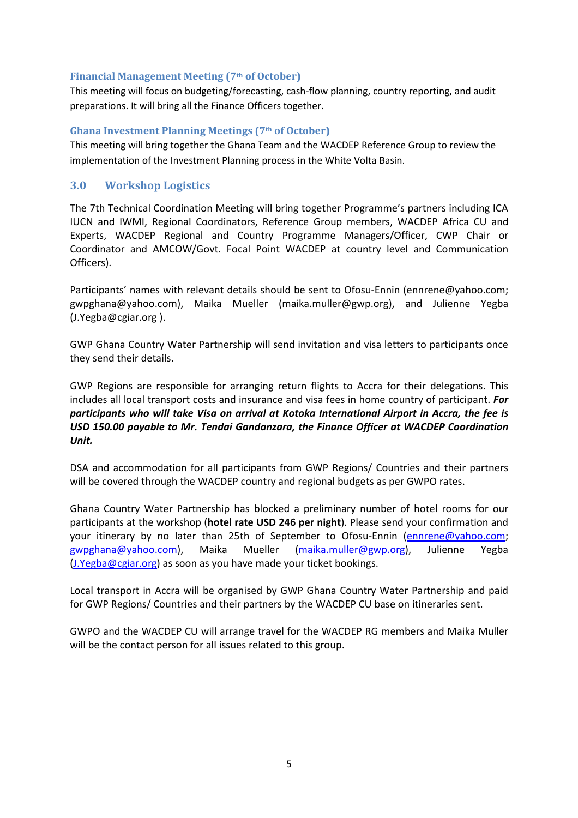#### Financial Management Meeting (7<sup>th</sup> of October)

This meeting will focus on budgeting/forecasting, cash-flow planning, country reporting, and audit preparations. It will bring all the Finance Officers together.

#### Ghana Investment Planning Meetings (7th of October)

This meeting will bring together the Ghana Team and the WACDEP Reference Group to review the implementation of the Investment Planning process in the White Volta Basin.

#### 3.0 Workshop Logistics

The 7th Technical Coordination Meeting will bring together Programme's partners including ICA IUCN and IWMI, Regional Coordinators, Reference Group members, WACDEP Africa CU and Experts, WACDEP Regional and Country Programme Managers/Officer, CWP Chair or Coordinator and AMCOW/Govt. Focal Point WACDEP at country level and Communication Officers).

Participants' names with relevant details should be sent to Ofosu-Ennin (ennrene@yahoo.com; gwpghana@yahoo.com), Maika Mueller (maika.muller@gwp.org), and Julienne Yegba (J.Yegba@cgiar.org ).

GWP Ghana Country Water Partnership will send invitation and visa letters to participants once they send their details.

GWP Regions are responsible for arranging return flights to Accra for their delegations. This includes all local transport costs and insurance and visa fees in home country of participant. For participants who will take Visa on arrival at Kotoka International Airport in Accra, the fee is USD 150.00 payable to Mr. Tendai Gandanzara, the Finance Officer at WACDEP Coordination Unit.

DSA and accommodation for all participants from GWP Regions/ Countries and their partners will be covered through the WACDEP country and regional budgets as per GWPO rates.

Ghana Country Water Partnership has blocked a preliminary number of hotel rooms for our participants at the workshop (hotel rate USD 246 per night). Please send your confirmation and your itinerary by no later than 25th of September to Ofosu-Ennin (ennrene@yahoo.com; gwpghana@yahoo.com), Maika Mueller (maika.muller@gwp.org), Julienne Yegba (J.Yegba@cgiar.org) as soon as you have made your ticket bookings.

Local transport in Accra will be organised by GWP Ghana Country Water Partnership and paid for GWP Regions/ Countries and their partners by the WACDEP CU base on itineraries sent.

GWPO and the WACDEP CU will arrange travel for the WACDEP RG members and Maika Muller will be the contact person for all issues related to this group.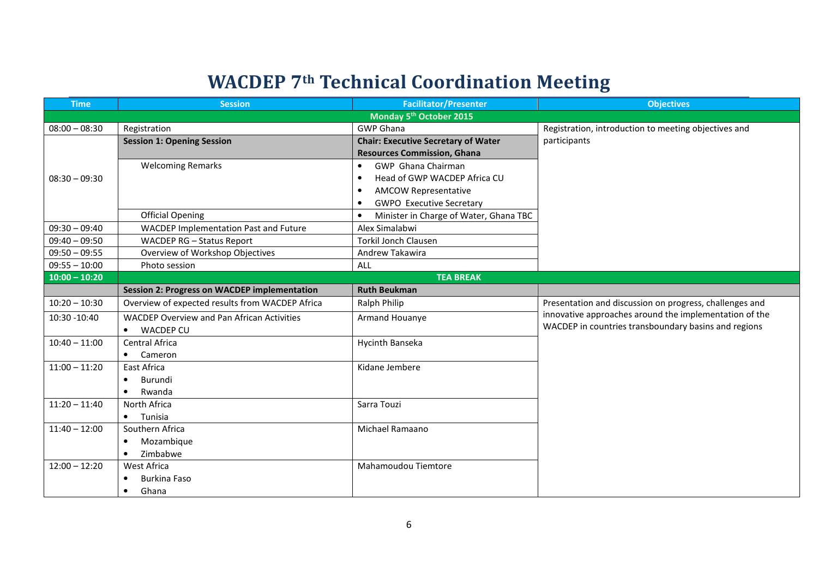# WACDEP 7<sup>th</sup> Technical Coordination Meeting

| <b>Time</b>                         | <b>Session</b>                                      | <b>Facilitator/Presenter</b>                        | <b>Objectives</b>                                       |  |  |
|-------------------------------------|-----------------------------------------------------|-----------------------------------------------------|---------------------------------------------------------|--|--|
| Monday 5 <sup>th</sup> October 2015 |                                                     |                                                     |                                                         |  |  |
| $08:00 - 08:30$                     | Registration                                        | <b>GWP Ghana</b>                                    | Registration, introduction to meeting objectives and    |  |  |
|                                     | <b>Session 1: Opening Session</b>                   | <b>Chair: Executive Secretary of Water</b>          | participants                                            |  |  |
|                                     |                                                     | <b>Resources Commission, Ghana</b>                  |                                                         |  |  |
|                                     | <b>Welcoming Remarks</b>                            | GWP Ghana Chairman<br>$\bullet$                     |                                                         |  |  |
| $08:30 - 09:30$                     |                                                     | Head of GWP WACDEP Africa CU<br>$\bullet$           |                                                         |  |  |
|                                     |                                                     | <b>AMCOW Representative</b><br>$\bullet$            |                                                         |  |  |
|                                     |                                                     | <b>GWPO Executive Secretary</b><br>$\bullet$        |                                                         |  |  |
|                                     | <b>Official Opening</b>                             | Minister in Charge of Water, Ghana TBC<br>$\bullet$ |                                                         |  |  |
| $09:30 - 09:40$                     | <b>WACDEP Implementation Past and Future</b>        | Alex Simalabwi                                      |                                                         |  |  |
| $09:40 - 09:50$                     | WACDEP RG - Status Report                           | <b>Torkil Jonch Clausen</b>                         |                                                         |  |  |
| $09:50 - 09:55$                     | Overview of Workshop Objectives                     | Andrew Takawira                                     |                                                         |  |  |
| $09:55 - 10:00$                     | Photo session                                       | ALL                                                 |                                                         |  |  |
| $10:00 - 10:20$                     |                                                     | <b>TEA BREAK</b>                                    |                                                         |  |  |
|                                     | <b>Session 2: Progress on WACDEP implementation</b> | <b>Ruth Beukman</b>                                 |                                                         |  |  |
| $10:20 - 10:30$                     | Overview of expected results from WACDEP Africa     | Ralph Philip                                        | Presentation and discussion on progress, challenges and |  |  |
| 10:30 -10:40                        | <b>WACDEP Overview and Pan African Activities</b>   | Armand Houanye                                      | innovative approaches around the implementation of the  |  |  |
|                                     | <b>WACDEP CU</b><br>$\bullet$                       |                                                     | WACDEP in countries transboundary basins and regions    |  |  |
| $10:40 - 11:00$                     | Central Africa                                      | Hycinth Banseka                                     |                                                         |  |  |
|                                     | Cameron<br>$\bullet$                                |                                                     |                                                         |  |  |
| $11:00 - 11:20$                     | East Africa                                         | Kidane Jembere                                      |                                                         |  |  |
|                                     | Burundi<br>$\bullet$                                |                                                     |                                                         |  |  |
|                                     | Rwanda                                              |                                                     |                                                         |  |  |
| $11:20 - 11:40$                     | North Africa                                        | Sarra Touzi                                         |                                                         |  |  |
|                                     | Tunisia<br>$\bullet$                                |                                                     |                                                         |  |  |
| $11:40 - 12:00$                     | Southern Africa                                     | Michael Ramaano                                     |                                                         |  |  |
|                                     | Mozambique<br>$\bullet$                             |                                                     |                                                         |  |  |
|                                     | Zimbabwe<br>$\bullet$                               |                                                     |                                                         |  |  |
| $12:00 - 12:20$                     | <b>West Africa</b>                                  | Mahamoudou Tiemtore                                 |                                                         |  |  |
|                                     | Burkina Faso<br>$\bullet$                           |                                                     |                                                         |  |  |
|                                     | Ghana<br>$\bullet$                                  |                                                     |                                                         |  |  |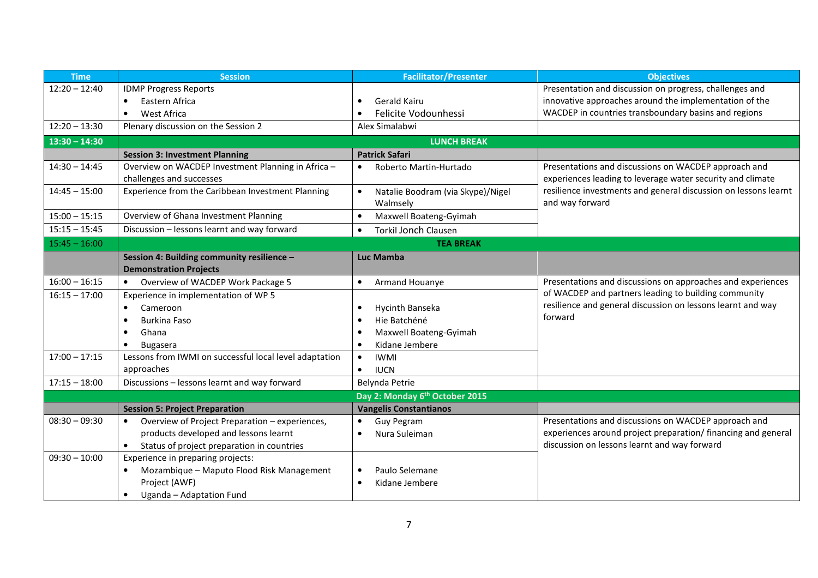| <b>Time</b>     | <b>Session</b>                                              | <b>Facilitator/Presenter</b>               | <b>Objectives</b>                                               |
|-----------------|-------------------------------------------------------------|--------------------------------------------|-----------------------------------------------------------------|
| $12:20 - 12:40$ | <b>IDMP Progress Reports</b>                                |                                            | Presentation and discussion on progress, challenges and         |
|                 | Eastern Africa<br>$\bullet$                                 | Gerald Kairu<br>$\bullet$                  | innovative approaches around the implementation of the          |
|                 | West Africa<br>$\bullet$                                    | Felicite Vodounhessi<br>$\bullet$          | WACDEP in countries transboundary basins and regions            |
| $12:20 - 13:30$ | Plenary discussion on the Session 2                         | Alex Simalabwi                             |                                                                 |
| $13:30 - 14:30$ |                                                             |                                            |                                                                 |
|                 | <b>Session 3: Investment Planning</b>                       | <b>Patrick Safari</b>                      |                                                                 |
| $14:30 - 14:45$ | Overview on WACDEP Investment Planning in Africa -          | Roberto Martin-Hurtado                     | Presentations and discussions on WACDEP approach and            |
|                 | challenges and successes                                    |                                            | experiences leading to leverage water security and climate      |
| $14:45 - 15:00$ | Experience from the Caribbean Investment Planning           | Natalie Boodram (via Skype)/Nigel          | resilience investments and general discussion on lessons learnt |
|                 |                                                             | Walmsely                                   | and way forward                                                 |
| $15:00 - 15:15$ | Overview of Ghana Investment Planning                       | Maxwell Boateng-Gyimah<br>$\bullet$        |                                                                 |
| $15:15 - 15:45$ | Discussion - lessons learnt and way forward                 | <b>Torkil Jonch Clausen</b>                |                                                                 |
| $15:45 - 16:00$ |                                                             | <b>TEA BREAK</b>                           |                                                                 |
|                 | Session 4: Building community resilience -                  | Luc Mamba                                  |                                                                 |
|                 | <b>Demonstration Projects</b>                               |                                            |                                                                 |
| $16:00 - 16:15$ | Overview of WACDEP Work Package 5<br>$\bullet$              | Armand Houanye<br>$\bullet$                | Presentations and discussions on approaches and experiences     |
| $16:15 - 17:00$ | Experience in implementation of WP 5                        |                                            | of WACDEP and partners leading to building community            |
|                 | Cameroon<br>$\bullet$                                       | Hycinth Banseka<br>$\bullet$               | resilience and general discussion on lessons learnt and way     |
|                 | <b>Burkina Faso</b><br>$\bullet$                            | Hie Batchéné<br>$\bullet$                  | forward                                                         |
|                 | Ghana<br>$\bullet$                                          | Maxwell Boateng-Gyimah<br>$\bullet$        |                                                                 |
|                 | Bugasera<br>$\bullet$                                       | Kidane Jembere<br>$\bullet$                |                                                                 |
| $17:00 - 17:15$ | Lessons from IWMI on successful local level adaptation      | <b>IWMI</b><br>$\bullet$                   |                                                                 |
|                 | approaches                                                  | <b>IUCN</b><br>$\bullet$                   |                                                                 |
| $17:15 - 18:00$ | Discussions - lessons learnt and way forward                | Belynda Petrie                             |                                                                 |
|                 |                                                             | Day 2: Monday 6 <sup>th</sup> October 2015 |                                                                 |
|                 | <b>Session 5: Project Preparation</b>                       | <b>Vangelis Constantianos</b>              |                                                                 |
| $08:30 - 09:30$ | Overview of Project Preparation - experiences,<br>$\bullet$ | <b>Guy Pegram</b><br>$\bullet$             | Presentations and discussions on WACDEP approach and            |
|                 | products developed and lessons learnt                       | Nura Suleiman                              | experiences around project preparation/ financing and general   |
|                 | Status of project preparation in countries<br>$\bullet$     |                                            | discussion on lessons learnt and way forward                    |
| $09:30 - 10:00$ | Experience in preparing projects:                           |                                            |                                                                 |
|                 | Mozambique - Maputo Flood Risk Management<br>$\bullet$      | Paulo Selemane                             |                                                                 |
|                 | Project (AWF)                                               | Kidane Jembere<br>$\bullet$                |                                                                 |
|                 | Uganda - Adaptation Fund<br>$\bullet$                       |                                            |                                                                 |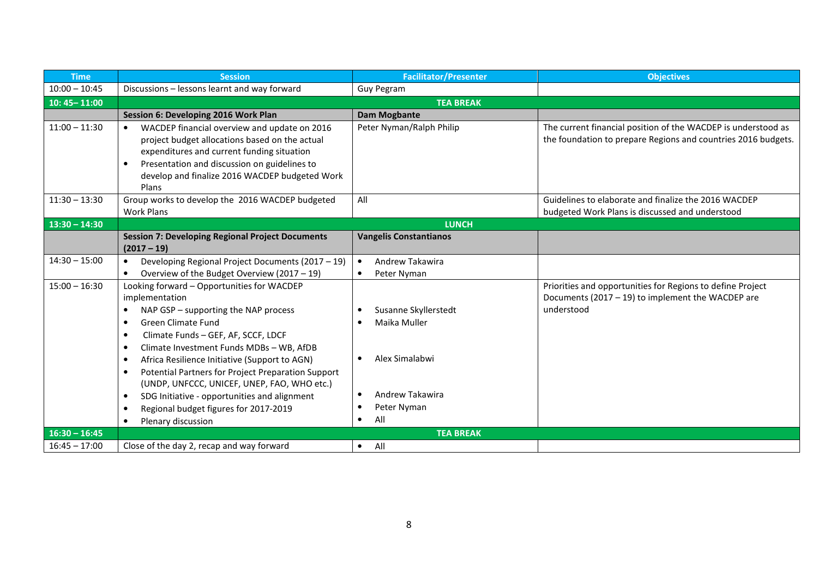| <b>Time</b>     | <b>Session</b>                                                                                                                                                                                                                                                                                                                                                                                                                                                                                                                                                            | <b>Facilitator/Presenter</b>                                                                                                           | <b>Objectives</b>                                                                                                              |  |
|-----------------|---------------------------------------------------------------------------------------------------------------------------------------------------------------------------------------------------------------------------------------------------------------------------------------------------------------------------------------------------------------------------------------------------------------------------------------------------------------------------------------------------------------------------------------------------------------------------|----------------------------------------------------------------------------------------------------------------------------------------|--------------------------------------------------------------------------------------------------------------------------------|--|
| $10:00 - 10:45$ | Discussions - lessons learnt and way forward                                                                                                                                                                                                                                                                                                                                                                                                                                                                                                                              | <b>Guy Pegram</b>                                                                                                                      |                                                                                                                                |  |
| $10:45 - 11:00$ | <b>TEA BREAK</b>                                                                                                                                                                                                                                                                                                                                                                                                                                                                                                                                                          |                                                                                                                                        |                                                                                                                                |  |
|                 | Session 6: Developing 2016 Work Plan                                                                                                                                                                                                                                                                                                                                                                                                                                                                                                                                      | <b>Dam Mogbante</b>                                                                                                                    |                                                                                                                                |  |
| $11:00 - 11:30$ | WACDEP financial overview and update on 2016<br>$\bullet$<br>project budget allocations based on the actual<br>expenditures and current funding situation<br>Presentation and discussion on guidelines to<br>$\bullet$<br>develop and finalize 2016 WACDEP budgeted Work<br>Plans                                                                                                                                                                                                                                                                                         | Peter Nyman/Ralph Philip                                                                                                               | The current financial position of the WACDEP is understood as<br>the foundation to prepare Regions and countries 2016 budgets. |  |
| $11:30 - 13:30$ | Group works to develop the 2016 WACDEP budgeted<br><b>Work Plans</b>                                                                                                                                                                                                                                                                                                                                                                                                                                                                                                      | All                                                                                                                                    | Guidelines to elaborate and finalize the 2016 WACDEP<br>budgeted Work Plans is discussed and understood                        |  |
| $13:30 - 14:30$ | <b>LUNCH</b>                                                                                                                                                                                                                                                                                                                                                                                                                                                                                                                                                              |                                                                                                                                        |                                                                                                                                |  |
|                 | <b>Session 7: Developing Regional Project Documents</b><br>$(2017 - 19)$                                                                                                                                                                                                                                                                                                                                                                                                                                                                                                  | <b>Vangelis Constantianos</b>                                                                                                          |                                                                                                                                |  |
| $14:30 - 15:00$ | Developing Regional Project Documents (2017 - 19)<br>$\bullet$<br>Overview of the Budget Overview (2017 - 19)<br>$\bullet$                                                                                                                                                                                                                                                                                                                                                                                                                                                | Andrew Takawira<br>$\bullet$<br>Peter Nyman                                                                                            |                                                                                                                                |  |
| $15:00 - 16:30$ | Looking forward - Opportunities for WACDEP<br>implementation<br>NAP $GSP -$ supporting the NAP process<br><b>Green Climate Fund</b><br>$\bullet$<br>Climate Funds - GEF, AF, SCCF, LDCF<br>$\bullet$<br>Climate Investment Funds MDBs - WB, AfDB<br>$\bullet$<br>Africa Resilience Initiative (Support to AGN)<br>$\bullet$<br>Potential Partners for Project Preparation Support<br>(UNDP, UNFCCC, UNICEF, UNEP, FAO, WHO etc.)<br>SDG Initiative - opportunities and alignment<br>$\bullet$<br>Regional budget figures for 2017-2019<br>Plenary discussion<br>$\bullet$ | Susanne Skyllerstedt<br>Maika Muller<br>Alex Simalabwi<br>$\bullet$<br>Andrew Takawira<br>$\bullet$<br>Peter Nyman<br>All<br>$\bullet$ | Priorities and opportunities for Regions to define Project<br>Documents (2017 - 19) to implement the WACDEP are<br>understood  |  |
| $16:30 - 16:45$ |                                                                                                                                                                                                                                                                                                                                                                                                                                                                                                                                                                           | <b>TEA BREAK</b>                                                                                                                       |                                                                                                                                |  |
| $16:45 - 17:00$ | Close of the day 2, recap and way forward                                                                                                                                                                                                                                                                                                                                                                                                                                                                                                                                 | All<br>$\bullet$                                                                                                                       |                                                                                                                                |  |